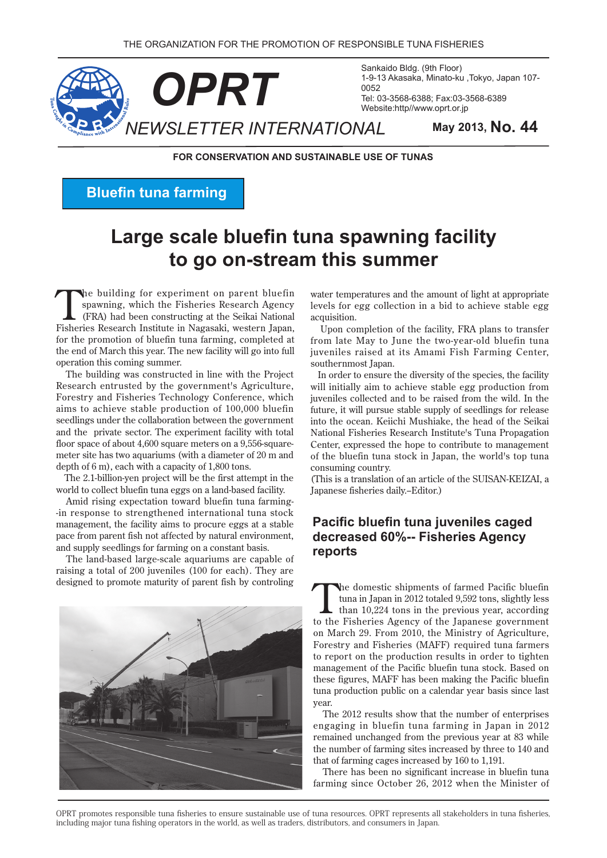

Sankaido Bldg. (9th Floor) 1-9-13 Akasaka, Minato-ku ,Tokyo, Japan 107-Tel: 03-3568-6388; Fax: 03-3568-6389 Website:http//www.oprt.or.jp

**FOR CONSERVATION AND SUSTAINABLE USE OF TUNAS** 

**Bluefin tuna farming** 

# **Large scale bluefin tuna spawning facility** to go on-stream this summer

The building for experiment on parent bluefin<br>
spawning, which the Fisheries Research Agency<br>
(FRA) had been constructing at the Seikai National<br>
Fisheries Beesearch Institute in Negrecali western Insen spawning, which the Fisheries Research Agency Fisheries Research Institute in Nagasaki, western Japan, for the promotion of bluefin tuna farming, completed at the end of March this year. The new facility will go into full operation this coming summer.

The building was constructed in line with the Project Research entrusted by the government's Agriculture. Forestry and Fisheries Technology Conference, which aims to achieve stable production of  $100,000$  bluefin seedlings under the collaboration between the government and the private sector. The experiment facility with total meter site has two aquariums (with a diameter of 20 m and floor space of about  $4,600$  square meters on a  $9,556$ -squaredepth of  $6 \text{ m}$ ), each with a capacity of  $1,800 \text{ tons}$ .

The 2.1-billion-ven project will be the first attempt in the world to collect bluefin tuna eggs on a land-based facility.

Amid rising expectation toward bluefin tuna farming--in response to strengthened international tuna stock management, the facility aims to procure eggs at a stable pace from parent fish not affected by natural environment, and supply seedlings for farming on a constant basis.

The land-based large-scale aquariums are capable of raising a total of 200 juveniles (100 for each). They are designed to promote maturity of parent fish by controling



water temperatures and the amount of light at appropriate levels for egg collection in a bid to achieve stable egg .acquisition

Upon completion of the facility, FRA plans to transfer from late May to June the two-year-old bluefin tuna juveniles raised at its Amami Fish Farming Center. southernmost Iapan.

In order to ensure the diversity of the species, the facility will initially aim to achieve stable egg production from juveniles collected and to be raised from the wild. In the future, it will pursue stable supply of seedlings for release into the ocean. Keiichi Mushiake, the head of the Seikai National Fisheries Research Institute's Tuna Propagation Center, expressed the hope to contribute to management of the bluefin tuna stock in Japan, the world's top tuna consuming country.

(This is a translation of an article of the SUISAN-KEIZAI, a Japanese fisheries daily.-Editor.)

# **Pacific bluefin tuna iuveniles caged decreased 60%-- Fisheries Agency reports**

the domestic shipments of farmed Pacific bluefin<br>tuna in Japan in 2012 totaled 9,592 tons, slightly less<br>than 10,224 tons in the previous year, according<br>to the Financiae Agency of the Japanese common tuna in Japan in 2012 totaled 9,592 tons, slightly less to the Fisheries Agency of the Japanese government on March 29. From 2010, the Ministry of Agriculture, Forestry and Fisheries (MAFF) required tuna farmers to report on the production results in order to tighten management of the Pacific bluefin tuna stock. Based on these figures, MAFF has been making the Pacific bluefin tuna production public on a calendar year basis since last .year

The 2012 results show that the number of enterprises engaging in bluefin tuna farming in Japan in 2012 remained unchanged from the previous year at 83 while the number of farming sites increased by three to 140 and that of farming cages increased by  $160$  to  $1,191$ .

There has been no significant increase in bluefin tuna farming since October 26, 2012 when the Minister of

OPRT promotes responsible tuna fisheries to ensure sustainable use of tuna resources. OPRT represents all stakeholders in tuna fisheries, including major tuna fishing operators in the world, as well as traders, distributors, and consumers in Japan.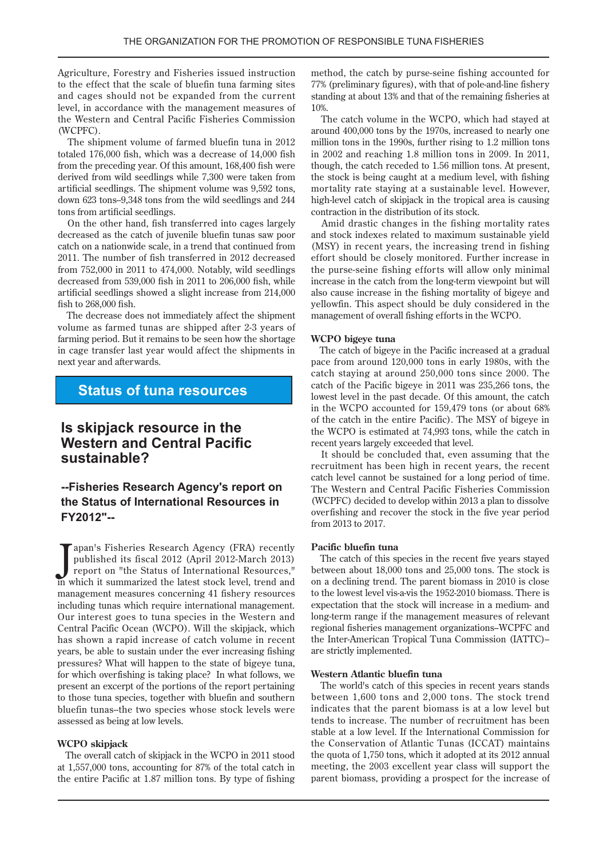Agriculture, Forestry and Fisheries issued instruction to the effect that the scale of bluefin tuna farming sites and cages should not be expanded from the current level, in accordance with the management measures of the Western and Central Pacific Fisheries Commission (WCPFC).

The shipment volume of farmed bluefin tuna in 2012 totaled  $176,000$  fish, which was a decrease of  $14,000$  fish from the preceding year. Of this amount, 168,400 fish were derived from wild seedlings while 7,300 were taken from artificial seedlings. The shipment volume was 9.592 tons. down 623 tons-9,348 tons from the wild seedlings and  $244$ tons from artificial seedlings.

On the other hand, fish transferred into cages largely decreased as the catch of juvenile bluefin tunas saw poor catch on a nationwide scale, in a trend that continued from 2011. The number of fish transferred in 2012 decreased from  $752,000$  in  $2011$  to  $474,000$ . Notably, wild seedlings decreased from  $539,000$  fish in  $2011$  to  $206,000$  fish, while artificial seedlings showed a slight increase from 214,000 fish to  $268,000$  fish.

The decrease does not immediately affect the shipment volume as farmed tunas are shipped after 2-3 years of farming period. But it remains to be seen how the shortage. in cage transfer last year would affect the shipments in next year and afterwards.

### **Status of tuna resources**

# **is skipjack resource in the Western and Central Pacific ?sustainable**

### **--Fisheries Research Agency's report on the Status of International Resources in** FY2012"--

Japan's Fisheries Research Agency (FRA) recently<br>published its fiscal 2012 (April 2012-March 2013)<br>report on "the Status of International Resources,"<br>in which it summarized the latest stock level, trend and apan's Fisheries Research Agency (FRA) recently published its fiscal 2012 (April 2012-March 2013) report on "the Status of International Resources," management measures concerning 41 fishery resources including tunas which require international management. Our interest goes to tuna species in the Western and Central Pacific Ocean (WCPO). Will the skipjack, which has shown a rapid increase of catch volume in recent years, be able to sustain under the ever increasing fishing pressures? What will happen to the state of bigeye tuna, for which overfishing is taking place? In what follows, we present an excerpt of the portions of the report pertaining to those tuna species, together with bluefin and southern bluefin tunas--the two species whose stock levels were assessed as being at low levels.

#### **skipjack WCPO**

The overall catch of skipjack in the WCPO in 2011 stood at  $1,557,000$  tons, accounting for 87% of the total catch in the entire Pacific at 1.87 million tons. By type of fishing method, the catch by purse-seine fishing accounted for 77% (preliminary figures), with that of pole-and-line fishery standing at about 13% and that of the remaining fisheries at 10%.

The catch volume in the WCPO, which had stayed at around 400,000 tons by the 1970s, increased to nearly one million tons in the 1990s, further rising to  $1.2$  million tons in  $2002$  and reaching 1.8 million tons in  $2009$ . In  $2011$ , though, the catch receded to 1.56 million tons. At present, the stock is being caught at a medium level, with fishing mortality rate staving at a sustainable level. However, high-level catch of skipjack in the tropical area is causing contraction in the distribution of its stock.

Amid drastic changes in the fishing mortality rates and stock indexes related to maximum sustainable yield  $(MSY)$  in recent years, the increasing trend in fishing effort should be closely monitored. Further increase in the purse-seine fishing efforts will allow only minimal increase in the catch from the long-term viewpoint but will also cause increase in the fishing mortality of bigeye and yellowfin. This aspect should be duly considered in the management of overall fishing efforts in the WCPO.

#### **WCPO** bigeye tuna

The catch of bigeye in the Pacific increased at a gradual pace from around  $120,000$  tons in early 1980s, with the catch staying at around  $250,000$  tons since  $2000$ . The catch of the Pacific bigeye in  $2011$  was  $235,266$  tons, the lowest level in the past decade. Of this amount, the catch in the WCPO accounted for  $159,479$  tons (or about  $68\%$ of the catch in the entire Pacific). The MSY of bigeye in the WCPO is estimated at 74,993 tons, while the catch in recent years largely exceeded that level.

It should be concluded that, even assuming that the recruitment has been high in recent vears, the recent catch level cannot be sustained for a long period of time. The Western and Central Pacific Fisheries Commission (WCPFC) decided to develop within 2013 a plan to dissolve overfishing and recover the stock in the five year period from 2013 to 2017.

#### Pacific bluefin tuna

The catch of this species in the recent five years stayed between about  $18,000$  tons and  $25,000$  tons. The stock is on a declining trend. The parent biomass in 2010 is close to the lowest level vis-a-vis the 1952-2010 biomass. There is expectation that the stock will increase in a medium- and long-term range if the management measures of relevant regional fisheries management organizations–WCPFC and the Inter-American Tropical Tuna Commission (IATTC)are strictly implemented.

#### **Western Atlantic bluefin tuna**

The world's catch of this species in recent years stands between  $1,600$  tons and  $2,000$  tons. The stock trend indicates that the parent biomass is at a low level but tends to increase. The number of recruitment has been stable at a low level. If the International Commission for the Conservation of Atlantic Tunas (ICCAT) maintains the quota of  $1,750$  tons, which it adopted at its  $2012$  annual meeting, the 2003 excellent year class will support the parent biomass, providing a prospect for the increase of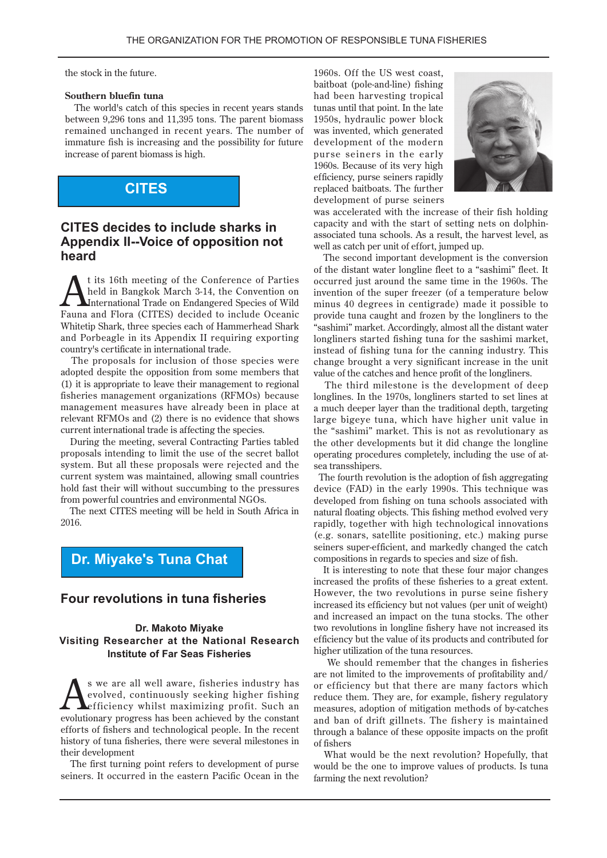the stock in the future.

#### **Southern bluefin tuna**

The world's catch of this species in recent years stands between  $9,296$  tons and  $11,395$  tons. The parent biomass remained unchanged in recent years. The number of immature fish is increasing and the possibility for future increase of parent biomass is high.

# **CITES**

### **CITES** decides to include sharks in **Appendix II--Voice of opposition not heard**

t its 16th meeting of the Conference of Parties held in Bangkok March 3-14, the Convention on International Trade on Endangered Species of Wild Fauna and Flora (CITES) decided to include Oceanic Whitetip Shark, three species each of Hammerhead Shark and Porbeagle in its Appendix II requiring exporting country's certificate in international trade.

The proposals for inclusion of those species were adopted despite the opposition from some members that  $(1)$  it is appropriate to leave their management to regional fisheries management organizations (RFMOs) because management measures have already been in place at relevant RFMOs and (2) there is no evidence that shows current international trade is affecting the species.

During the meeting, several Contracting Parties tabled proposals intending to limit the use of the secret ballot system. But all these proposals were rejected and the current system was maintained, allowing small countries hold fast their will without succumbing to the pressures from powerful countries and environmental NGOs.

The next CITES meeting will be held in South Africa in 2016.

# **Dr. Miyake's Tuna Chat**

### **Four revolutions in tuna fisheries**

#### **Dr. Makoto Miyake Visiting Researcher at the National Research Institute of Far Seas Fisheries**

**has y industry fisheries** industry has evolved, continuously seeking higher fishing efficiency whilst maximizing profit. Such an evolutionary progress has been achieved by the constant evolved, continuously seeking higher fishing Lefficiency whilst maximizing profit. Such an evolutionary progress has been achieved by the constant efforts of fishers and technological people. In the recent history of tuna fisheries, there were several milestones in their development

The first turning point refers to development of purse seiners. It occurred in the eastern Pacific Ocean in the

1960s. Off the US west coast, baitboat (pole-and-line) fishing had been har vesting tropical tunas until that point. In the late 1950s, hydraulic power block was invented, which generated development of the modern purse seiners in the early 1960s. Because of its very high efficiency, purse seiners rapidly replaced baitboats. The further development of purse seiners



was accelerated with the increase of their fish holding associated tuna schools. As a result, the harvest level, as capacity and with the start of setting nets on dolphinwell as catch per unit of effort, jumped up.

The second important development is the conversion of the distant water longline fleet to a "sashimi" fleet. It occurred just around the same time in the 1960s. The invention of the super freezer (of a temperature below minus 40 degrees in centigrade) made it possible to provide tuna caught and frozen by the longliners to the "sashimi" market. Accordingly, almost all the distant water longliners started fishing tuna for the sashimi market, instead of fishing tuna for the canning industry. This change brought a very significant increase in the unit value of the catches and hence profit of the longliners.

The third milestone is the development of deep longlines. In the 1970s, longliners started to set lines at a much deeper layer than the traditional depth, targeting large bigeye tuna, which have higher unit value in the "sashimi" market. This is not as revolutionary as the other developments but it did change the longline operating procedures completely, including the use of at-<br>sea transshipers.

The fourth revolution is the adoption of fish aggregating device (FAD) in the early 1990s. This technique was developed from fishing on tuna schools associated with natural floating objects. This fishing method evolved very rapidly, together with high technological innovations  $(e.g.$  sonars, satellite positioning, etc.) making purse seiners super-efficient, and markedly changed the catch compositions in regards to species and size of fish.

It is interesting to note that these four major changes increased the profits of these fisheries to a great extent. However, the two revolutions in purse seine fishery increased its efficiency but not values (per unit of weight) and increased an impact on the tuna stocks. The other two revolutions in longline fishery have not increased its efficiency but the value of its products and contributed for higher utilization of the tuna resources.

We should remember that the changes in fisheries are not limited to the improvements of profitability and/ or efficiency but that there are many factors which reduce them. They are, for example, fishery regulatory measures, adoption of mitigation methods of by-catches and ban of drift gillnets. The fishery is maintained through a balance of these opposite impacts on the profit fishers of

What would be the next revolution? Hopefully, that would be the one to improve values of products. Is tuna farming the next revolution?